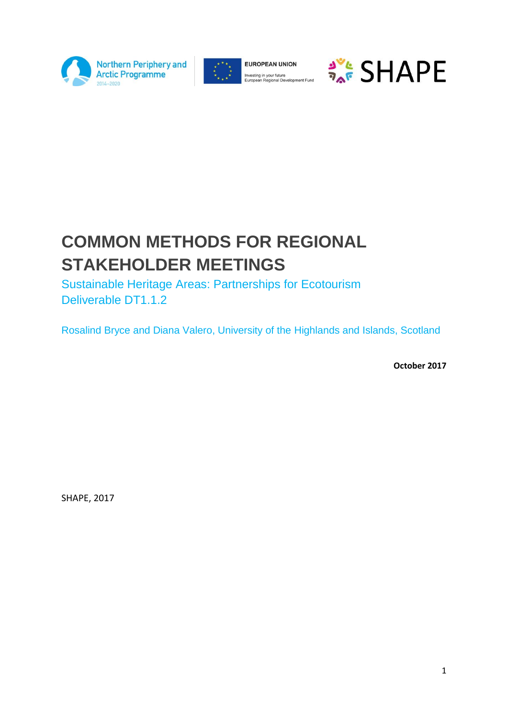



**EUROPEAN UNION** Investing in your future<br>European Regional Development Fund



# **COMMON METHODS FOR REGIONAL STAKEHOLDER MEETINGS**

Sustainable Heritage Areas: Partnerships for Ecotourism Deliverable DT1.1.2

Rosalind Bryce and Diana Valero, University of the Highlands and Islands, Scotland

**October 2017**

SHAPE, 2017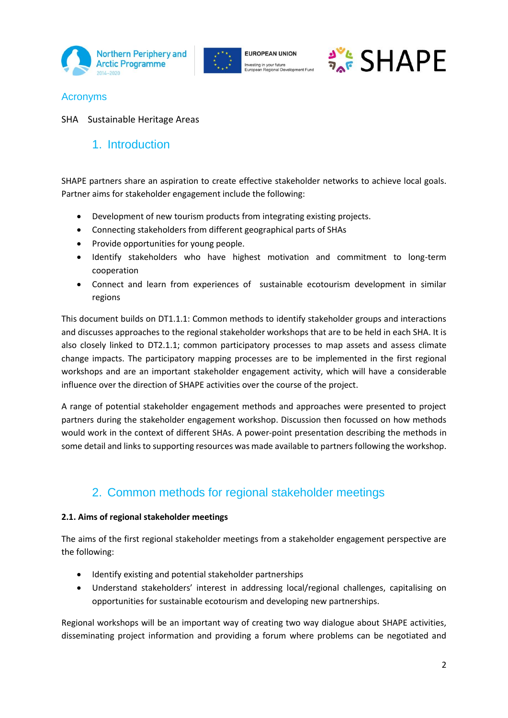





### Acronyms

SHA Sustainable Heritage Areas

## 1. Introduction

SHAPE partners share an aspiration to create effective stakeholder networks to achieve local goals. Partner aims for stakeholder engagement include the following:

- Development of new tourism products from integrating existing projects.
- Connecting stakeholders from different geographical parts of SHAs
- Provide opportunities for young people.
- Identify stakeholders who have highest motivation and commitment to long-term cooperation
- Connect and learn from experiences of sustainable ecotourism development in similar regions

This document builds on DT1.1.1: Common methods to identify stakeholder groups and interactions and discusses approaches to the regional stakeholder workshops that are to be held in each SHA. It is also closely linked to DT2.1.1; common participatory processes to map assets and assess climate change impacts. The participatory mapping processes are to be implemented in the first regional workshops and are an important stakeholder engagement activity, which will have a considerable influence over the direction of SHAPE activities over the course of the project.

A range of potential stakeholder engagement methods and approaches were presented to project partners during the stakeholder engagement workshop. Discussion then focussed on how methods would work in the context of different SHAs. A power-point presentation describing the methods in some detail and links to supporting resources was made available to partners following the workshop.

# 2. Common methods for regional stakeholder meetings

#### **2.1. Aims of regional stakeholder meetings**

The aims of the first regional stakeholder meetings from a stakeholder engagement perspective are the following:

- Identify existing and potential stakeholder partnerships
- Understand stakeholders' interest in addressing local/regional challenges, capitalising on opportunities for sustainable ecotourism and developing new partnerships.

Regional workshops will be an important way of creating two way dialogue about SHAPE activities, disseminating project information and providing a forum where problems can be negotiated and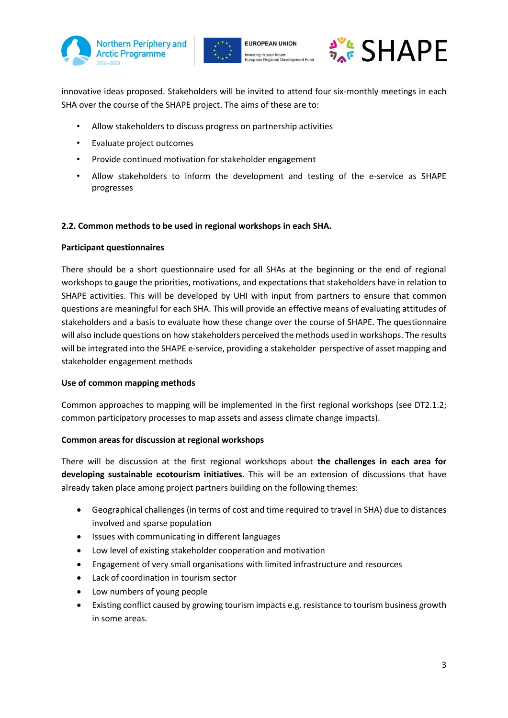





innovative ideas proposed. Stakeholders will be invited to attend four six-monthly meetings in each SHA over the course of the SHAPE project. The aims of these are to:

- Allow stakeholders to discuss progress on partnership activities
- Evaluate project outcomes
- Provide continued motivation for stakeholder engagement
- Allow stakeholders to inform the development and testing of the e-service as SHAPE progresses

#### **2.2. Common methods to be used in regional workshops in each SHA.**

#### **Participant questionnaires**

There should be a short questionnaire used for all SHAs at the beginning or the end of regional workshops to gauge the priorities, motivations, and expectations that stakeholders have in relation to SHAPE activities. This will be developed by UHI with input from partners to ensure that common questions are meaningful for each SHA. This will provide an effective means of evaluating attitudes of stakeholders and a basis to evaluate how these change over the course of SHAPE. The questionnaire will also include questions on how stakeholders perceived the methods used in workshops. The results will be integrated into the SHAPE e-service, providing a stakeholder perspective of asset mapping and stakeholder engagement methods

#### **Use of common mapping methods**

Common approaches to mapping will be implemented in the first regional workshops (see DT2.1.2; common participatory processes to map assets and assess climate change impacts).

#### **Common areas for discussion at regional workshops**

There will be discussion at the first regional workshops about **the challenges in each area for developing sustainable ecotourism initiatives**. This will be an extension of discussions that have already taken place among project partners building on the following themes:

- Geographical challenges (in terms of cost and time required to travel in SHA) due to distances involved and sparse population
- Issues with communicating in different languages
- Low level of existing stakeholder cooperation and motivation
- Engagement of very small organisations with limited infrastructure and resources
- Lack of coordination in tourism sector
- Low numbers of young people
- Existing conflict caused by growing tourism impacts e.g. resistance to tourism business growth in some areas.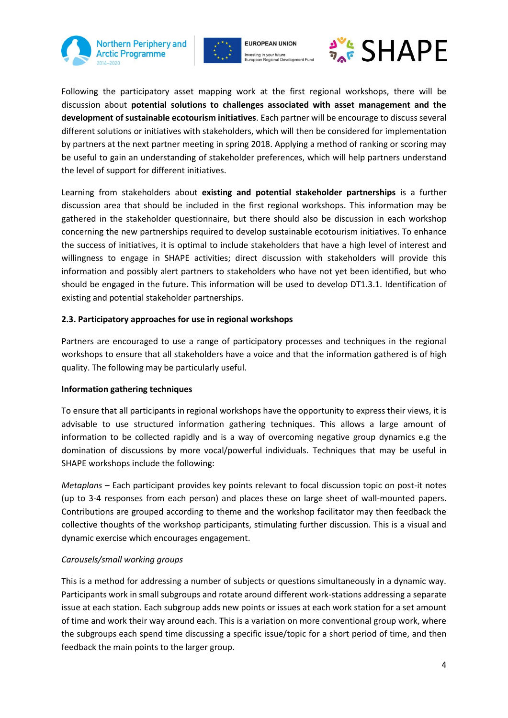



**EUROPEAN UNION** Investing in your future<br>European Regional Dev



Following the participatory asset mapping work at the first regional workshops, there will be discussion about **potential solutions to challenges associated with asset management and the development of sustainable ecotourism initiatives**. Each partner will be encourage to discuss several different solutions or initiatives with stakeholders, which will then be considered for implementation by partners at the next partner meeting in spring 2018. Applying a method of ranking or scoring may be useful to gain an understanding of stakeholder preferences, which will help partners understand the level of support for different initiatives.

Learning from stakeholders about **existing and potential stakeholder partnerships** is a further discussion area that should be included in the first regional workshops. This information may be gathered in the stakeholder questionnaire, but there should also be discussion in each workshop concerning the new partnerships required to develop sustainable ecotourism initiatives. To enhance the success of initiatives, it is optimal to include stakeholders that have a high level of interest and willingness to engage in SHAPE activities; direct discussion with stakeholders will provide this information and possibly alert partners to stakeholders who have not yet been identified, but who should be engaged in the future. This information will be used to develop DT1.3.1. Identification of existing and potential stakeholder partnerships.

#### **2.3. Participatory approaches for use in regional workshops**

Partners are encouraged to use a range of participatory processes and techniques in the regional workshops to ensure that all stakeholders have a voice and that the information gathered is of high quality. The following may be particularly useful.

#### **Information gathering techniques**

To ensure that all participants in regional workshops have the opportunity to express their views, it is advisable to use structured information gathering techniques. This allows a large amount of information to be collected rapidly and is a way of overcoming negative group dynamics e.g the domination of discussions by more vocal/powerful individuals. Techniques that may be useful in SHAPE workshops include the following:

*Metaplans* – Each participant provides key points relevant to focal discussion topic on post-it notes (up to 3-4 responses from each person) and places these on large sheet of wall-mounted papers. Contributions are grouped according to theme and the workshop facilitator may then feedback the collective thoughts of the workshop participants, stimulating further discussion. This is a visual and dynamic exercise which encourages engagement.

#### *Carousels/small working groups*

This is a method for addressing a number of subjects or questions simultaneously in a dynamic way. Participants work in small subgroups and rotate around different work-stations addressing a separate issue at each station. Each subgroup adds new points or issues at each work station for a set amount of time and work their way around each. This is a variation on more conventional group work, where the subgroups each spend time discussing a specific issue/topic for a short period of time, and then feedback the main points to the larger group.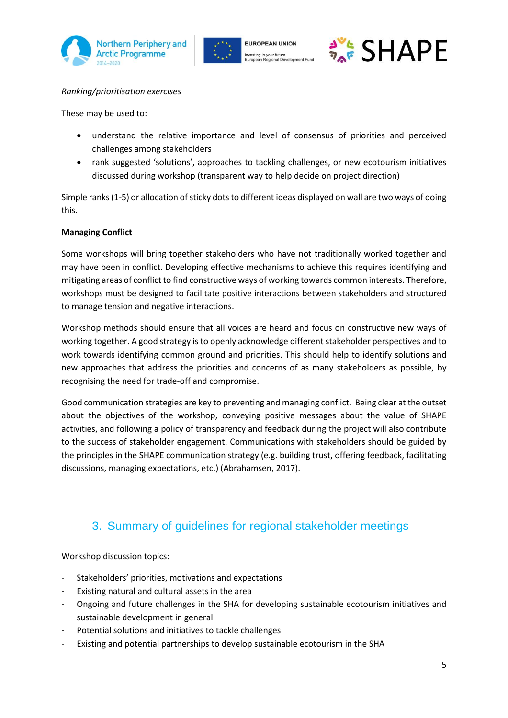





#### *Ranking/prioritisation exercises*

These may be used to:

- understand the relative importance and level of consensus of priorities and perceived challenges among stakeholders
- rank suggested 'solutions', approaches to tackling challenges, or new ecotourism initiatives discussed during workshop (transparent way to help decide on project direction)

Simple ranks (1-5) or allocation of sticky dots to different ideas displayed on wall are two ways of doing this.

#### **Managing Conflict**

Some workshops will bring together stakeholders who have not traditionally worked together and may have been in conflict. Developing effective mechanisms to achieve this requires identifying and mitigating areas of conflict to find constructive ways of working towards common interests. Therefore, workshops must be designed to facilitate positive interactions between stakeholders and structured to manage tension and negative interactions.

Workshop methods should ensure that all voices are heard and focus on constructive new ways of working together. A good strategy is to openly acknowledge different stakeholder perspectives and to work towards identifying common ground and priorities. This should help to identify solutions and new approaches that address the priorities and concerns of as many stakeholders as possible, by recognising the need for trade-off and compromise.

Good communication strategies are key to preventing and managing conflict. Being clear at the outset about the objectives of the workshop, conveying positive messages about the value of SHAPE activities, and following a policy of transparency and feedback during the project will also contribute to the success of stakeholder engagement. Communications with stakeholders should be guided by the principles in the SHAPE communication strategy (e.g. building trust, offering feedback, facilitating discussions, managing expectations, etc.) (Abrahamsen, 2017).

## 3. Summary of guidelines for regional stakeholder meetings

Workshop discussion topics:

- Stakeholders' priorities, motivations and expectations
- Existing natural and cultural assets in the area
- Ongoing and future challenges in the SHA for developing sustainable ecotourism initiatives and sustainable development in general
- Potential solutions and initiatives to tackle challenges
- Existing and potential partnerships to develop sustainable ecotourism in the SHA